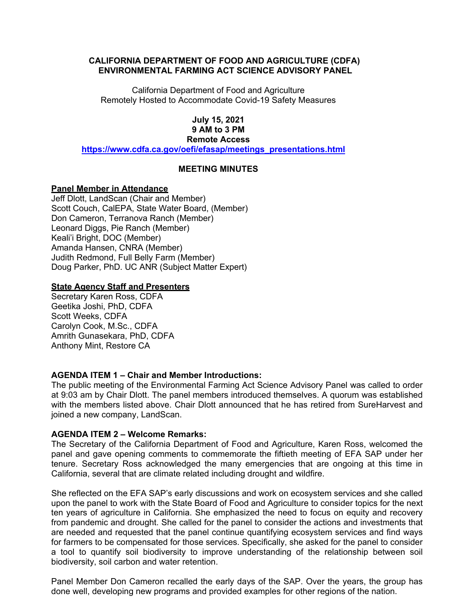### **CALIFORNIA DEPARTMENT OF FOOD AND AGRICULTURE (CDFA) ENVIRONMENTAL FARMING ACT SCIENCE ADVISORY PANEL**

California Department of Food and Agriculture Remotely Hosted to Accommodate Covid-19 Safety Measures

#### **July 15, 2021 9 AM to 3 PM Remote Access**

**[https://www.cdfa.ca.gov/oefi/efasap/meetings\\_presentations.html](https://www.cdfa.ca.gov/oefi/efasap/meetings_presentations.html)** 

# **MEETING MINUTES**

### **Panel Member in Attendance**

 Scott Couch, CalEPA, State Water Board, (Member) Don Cameron, Terranova Ranch (Member) Doug Parker, PhD. UC ANR (Subject Matter Expert) Jeff Dlott, LandScan (Chair and Member) Leonard Diggs, Pie Ranch (Member) Keali'i Bright, DOC (Member) Amanda Hansen, CNRA (Member) Judith Redmond, Full Belly Farm (Member)

### **State Agency Staff and Presenters**

Secretary Karen Ross, CDFA Geetika Joshi, PhD, CDFA Scott Weeks, CDFA Carolyn Cook, M.Sc., CDFA Amrith Gunasekara, PhD, CDFA Anthony Mint, Restore CA

# **AGENDA ITEM 1 – Chair and Member Introductions:**

 The public meeting of the Environmental Farming Act Science Advisory Panel was called to order at 9:03 am by Chair Dlott. The panel members introduced themselves. A quorum was established with the members listed above. Chair Dlott announced that he has retired from SureHarvest and joined a new company, LandScan.

#### **AGENDA ITEM 2 – Welcome Remarks:**

 The Secretary of the California Department of Food and Agriculture, Karen Ross, welcomed the panel and gave opening comments to commemorate the fiftieth meeting of EFA SAP under her California, several that are climate related including drought and wildfire. tenure. Secretary Ross acknowledged the many emergencies that are ongoing at this time in

California, several that are climate related including drought and wildfire.<br>She reflected on the EFA SAP's early discussions and work on ecosystem services and she called are needed and requested that the panel continue quantifying ecosystem services and find ways a tool to quantify soil biodiversity to improve understanding of the relationship between soil upon the panel to work with the State Board of Food and Agriculture to consider topics for the next ten years of agriculture in California. She emphasized the need to focus on equity and recovery from pandemic and drought. She called for the panel to consider the actions and investments that for farmers to be compensated for those services. Specifically, she asked for the panel to consider biodiversity, soil carbon and water retention.

Panel Member Don Cameron recalled the early days of the SAP. Over the years, the group has done well, developing new programs and provided examples for other regions of the nation.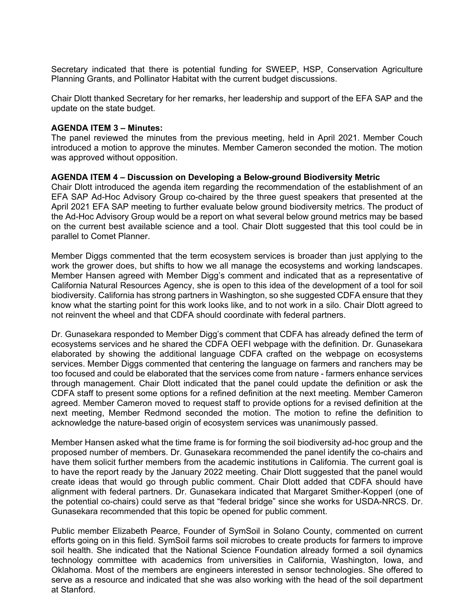Secretary indicated that there is potential funding for SWEEP, HSP, Conservation Agriculture Planning Grants, and Pollinator Habitat with the current budget discussions.

Chair Dlott thanked Secretary for her remarks, her leadership and support of the EFA SAP and the update on the state budget.

#### **AGENDA ITEM 3 – Minutes:**

The panel reviewed the minutes from the previous meeting, held in April 2021. Member Couch introduced a motion to approve the minutes. Member Cameron seconded the motion. The motion was approved without opposition.

### **AGENDA ITEM 4 – Discussion on Developing a Below-ground Biodiversity Metric**

 Chair Dlott introduced the agenda item regarding the recommendation of the establishment of an EFA SAP Ad-Hoc Advisory Group co-chaired by the three guest speakers that presented at the April 2021 EFA SAP meeting to further evaluate below ground biodiversity metrics. The product of on the current best available science and a tool. Chair Dlott suggested that this tool could be in the Ad-Hoc Advisory Group would be a report on what several below ground metrics may be based parallel to Comet Planner.

 Member Diggs commented that the term ecosystem services is broader than just applying to the Member Hansen agreed with Member Digg's comment and indicated that as a representative of California Natural Resources Agency, she is open to this idea of the development of a tool for soil biodiversity. California has strong partners in Washington, so she suggested CDFA ensure that they know what the starting point for this work looks like, and to not work in a silo. Chair Dlott agreed to work the grower does, but shifts to how we all manage the ecosystems and working landscapes. not reinvent the wheel and that CDFA should coordinate with federal partners.

 ecosystems services and he shared the CDFA OEFI webpage with the definition. Dr. Gunasekara services. Member Diggs commented that centering the language on farmers and ranchers may be too focused and could be elaborated that the services come from nature - farmers enhance services through management. Chair Dlott indicated that the panel could update the definition or ask the CDFA staff to present some options for a refined definition at the next meeting. Member Cameron acknowledge the nature-based origin of ecosystem services was unanimously passed. Dr. Gunasekara responded to Member Digg's comment that CDFA has already defined the term of elaborated by showing the additional language CDFA crafted on the webpage on ecosystems agreed. Member Cameron moved to request staff to provide options for a revised definition at the next meeting, Member Redmond seconded the motion. The motion to refine the definition to

acknowledge the nature-based origin of ecosystem services was unanimously passed.<br>Member Hansen asked what the time frame is for forming the soil biodiversity ad-hoc group and the have them solicit further members from the academic institutions in California. The current goal is create ideas that would go through public comment. Chair Dlott added that CDFA should have proposed number of members. Dr. Gunasekara recommended the panel identify the co-chairs and to have the report ready by the January 2022 meeting. Chair Dlott suggested that the panel would alignment with federal partners. Dr. Gunasekara indicated that Margaret Smither-Kopperl (one of the potential co-chairs) could serve as that "federal bridge" since she works for USDA-NRCS. Dr. Gunasekara recommended that this topic be opened for public comment.

 soil health. She indicated that the National Science Foundation already formed a soil dynamics Public member Elizabeth Pearce, Founder of SymSoil in Solano County, commented on current efforts going on in this field. SymSoil farms soil microbes to create products for farmers to improve technology committee with academics from universities in California, Washington, Iowa, and Oklahoma. Most of the members are engineers interested in sensor technologies. She offered to serve as a resource and indicated that she was also working with the head of the soil department at Stanford.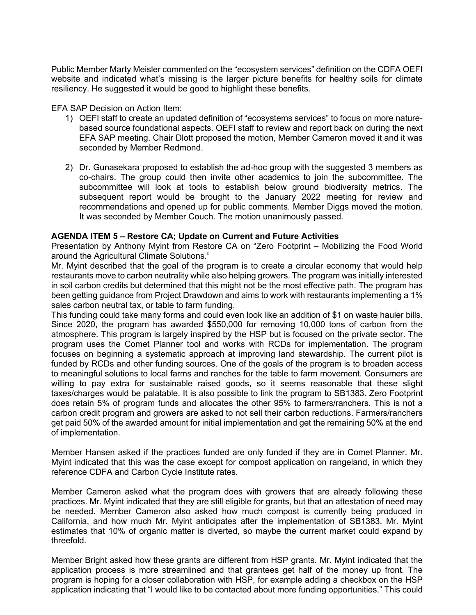Public Member Marty Meisler commented on the "ecosystem services" definition on the CDFA OEFI website and indicated what's missing is the larger picture benefits for healthy soils for climate resiliency. He suggested it would be good to highlight these benefits.

### EFA SAP Decision on Action Item:

- 1) OEFI staff to create an updated definition of "ecosystems services" to focus on more nature- EFA SAP meeting. Chair Dlott proposed the motion, Member Cameron moved it and it was based source foundational aspects. OEFI staff to review and report back on during the next seconded by Member Redmond.
- 2) Dr. Gunasekara proposed to establish the ad-hoc group with the suggested 3 members as co-chairs. The group could then invite other academics to join the subcommittee. The subsequent report would be brought to the January 2022 meeting for review and recommendations and opened up for public comments. Member Diggs moved the motion. It was seconded by Member Couch. The motion unanimously passed. subcommittee will look at tools to establish below ground biodiversity metrics. The

# **AGENDA ITEM 5 – Restore CA; Update on Current and Future Activities**

around the Agricultural Climate Solutions." Presentation by Anthony Myint from Restore CA on "Zero Footprint – Mobilizing the Food World

 in soil carbon credits but determined that this might not be the most effective path. The program has been getting guidance from Project Drawdown and aims to work with restaurants implementing a 1% sales carbon neutral tax, or table to farm funding. Mr. Myint described that the goal of the program is to create a circular economy that would help restaurants move to carbon neutrality while also helping growers. The program was initially interested

 atmosphere. This program is largely inspired by the HSP but is focused on the private sector. The program uses the Comet Planner tool and works with RCDs for implementation. The program focuses on beginning a systematic approach at improving land stewardship. The current pilot is to meaningful solutions to local farms and ranches for the table to farm movement. Consumers are taxes/charges would be palatable. It is also possible to link the program to SB1383. Zero Footprint does retain 5% of program funds and allocates the other 95% to farmers/ranchers. This is not a This funding could take many forms and could even look like an addition of \$1 on waste hauler bills. Since 2020, the program has awarded \$550,000 for removing 10,000 tons of carbon from the funded by RCDs and other funding sources. One of the goals of the program is to broaden access willing to pay extra for sustainable raised goods, so it seems reasonable that these slight carbon credit program and growers are asked to not sell their carbon reductions. Farmers/ranchers get paid 50% of the awarded amount for initial implementation and get the remaining 50% at the end of implementation.

Member Hansen asked if the practices funded are only funded if they are in Comet Planner. Mr. Myint indicated that this was the case except for compost application on rangeland, in which they reference CDFA and Carbon Cycle Institute rates.

 practices. Mr. Myint indicated that they are still eligible for grants, but that an attestation of need may estimates that 10% of organic matter is diverted, so maybe the current market could expand by threefold. Member Cameron asked what the program does with growers that are already following these be needed. Member Cameron also asked how much compost is currently being produced in California, and how much Mr. Myint anticipates after the implementation of SB1383. Mr. Myint

threefold.<br>Member Bright asked how these grants are different from HSP grants. Mr. Myint indicated that the application process is more streamlined and that grantees get half of the money up front. The program is hoping for a closer collaboration with HSP, for example adding a checkbox on the HSP application indicating that "I would like to be contacted about more funding opportunities." This could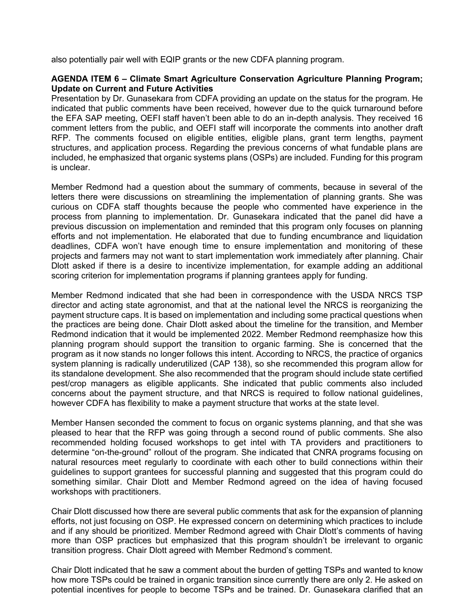also potentially pair well with EQIP grants or the new CDFA planning program.

### **AGENDA ITEM 6 – Climate Smart Agriculture Conservation Agriculture Planning Program; Update on Current and Future Activities**

 Presentation by Dr. Gunasekara from CDFA providing an update on the status for the program. He indicated that public comments have been received, however due to the quick turnaround before the EFA SAP meeting, OEFI staff haven't been able to do an in-depth analysis. They received 16 comment letters from the public, and OEFI staff will incorporate the comments into another draft RFP. The comments focused on eligible entities, eligible plans, grant term lengths, payment included, he emphasized that organic systems plans (OSPs) are included. Funding for this program structures, and application process. Regarding the previous concerns of what fundable plans are is unclear.

 projects and farmers may not want to start implementation work immediately after planning. Chair Member Redmond had a question about the summary of comments, because in several of the letters there were discussions on streamlining the implementation of planning grants. She was curious on CDFA staff thoughts because the people who commented have experience in the process from planning to implementation. Dr. Gunasekara indicated that the panel did have a previous discussion on implementation and reminded that this program only focuses on planning efforts and not implementation. He elaborated that due to funding encumbrance and liquidation deadlines, CDFA won't have enough time to ensure implementation and monitoring of these Dlott asked if there is a desire to incentivize implementation, for example adding an additional scoring criterion for implementation programs if planning grantees apply for funding.

 Member Redmond indicated that she had been in correspondence with the USDA NRCS TSP director and acting state agronomist, and that at the national level the NRCS is reorganizing the payment structure caps. It is based on implementation and including some practical questions when the practices are being done. Chair Dlott asked about the timeline for the transition, and Member program as it now stands no longer follows this intent. According to NRCS, the practice of organics system planning is radically underutilized (CAP 138), so she recommended this program allow for concerns about the payment structure, and that NRCS is required to follow national guidelines, Redmond indication that it would be implemented 2022. Member Redmond reemphasize how this planning program should support the transition to organic farming. She is concerned that the its standalone development. She also recommended that the program should include state certified pest/crop managers as eligible applicants. She indicated that public comments also included however CDFA has flexibility to make a payment structure that works at the state level.

 Member Hansen seconded the comment to focus on organic systems planning, and that she was recommended holding focused workshops to get intel with TA providers and practitioners to determine "on-the-ground" rollout of the program. She indicated that CNRA programs focusing on guidelines to support grantees for successful planning and suggested that this program could do something similar. Chair Dlott and Member Redmond agreed on the idea of having focused pleased to hear that the RFP was going through a second round of public comments. She also natural resources meet regularly to coordinate with each other to build connections within their workshops with practitioners.

 Chair Dlott discussed how there are several public comments that ask for the expansion of planning and if any should be prioritized. Member Redmond agreed with Chair Dlott's comments of having more than OSP practices but emphasized that this program shouldn't be irrelevant to organic efforts, not just focusing on OSP. He expressed concern on determining which practices to include transition progress. Chair Dlott agreed with Member Redmond's comment.

 Chair Dlott indicated that he saw a comment about the burden of getting TSPs and wanted to know how more TSPs could be trained in organic transition since currently there are only 2. He asked on potential incentives for people to become TSPs and be trained. Dr. Gunasekara clarified that an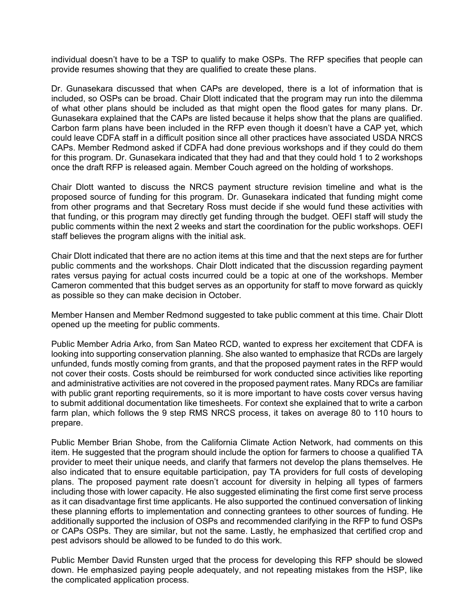individual doesn't have to be a TSP to qualify to make OSPs. The RFP specifies that people can provide resumes showing that they are qualified to create these plans.

 included, so OSPs can be broad. Chair Dlott indicated that the program may run into the dilemma of what other plans should be included as that might open the flood gates for many plans. Dr. CAPs. Member Redmond asked if CDFA had done previous workshops and if they could do them for this program. Dr. Gunasekara indicated that they had and that they could hold 1 to 2 workshops Dr. Gunasekara discussed that when CAPs are developed, there is a lot of information that is Gunasekara explained that the CAPs are listed because it helps show that the plans are qualified. Carbon farm plans have been included in the RFP even though it doesn't have a CAP yet, which could leave CDFA staff in a difficult position since all other practices have associated USDA NRCS once the draft RFP is released again. Member Couch agreed on the holding of workshops.

 from other programs and that Secretary Ross must decide if she would fund these activities with that funding, or this program may directly get funding through the budget. OEFI staff will study the Chair Dlott wanted to discuss the NRCS payment structure revision timeline and what is the proposed source of funding for this program. Dr. Gunasekara indicated that funding might come public comments within the next 2 weeks and start the coordination for the public workshops. OEFI staff believes the program aligns with the initial ask.

 Chair Dlott indicated that there are no action items at this time and that the next steps are for further public comments and the workshops. Chair Dlott indicated that the discussion regarding payment rates versus paying for actual costs incurred could be a topic at one of the workshops. Member Cameron commented that this budget serves as an opportunity for staff to move forward as quickly as possible so they can make decision in October.

 Member Hansen and Member Redmond suggested to take public comment at this time. Chair Dlott opened up the meeting for public comments.

 not cover their costs. Costs should be reimbursed for work conducted since activities like reporting with public grant reporting requirements, so it is more important to have costs cover versus having prepare. Public Member Adria Arko, from San Mateo RCD, wanted to express her excitement that CDFA is looking into supporting conservation planning. She also wanted to emphasize that RCDs are largely unfunded, funds mostly coming from grants, and that the proposed payment rates in the RFP would and administrative activities are not covered in the proposed payment rates. Many RDCs are familiar to submit additional documentation like timesheets. For context she explained that to write a carbon farm plan, which follows the 9 step RMS NRCS process, it takes on average 80 to 110 hours to

 item. He suggested that the program should include the option for farmers to choose a qualified TA provider to meet their unique needs, and clarify that farmers not develop the plans themselves. He including those with lower capacity. He also suggested eliminating the first come first serve process as it can disadvantage first time applicants. He also supported the continued conversation of linking these planning efforts to implementation and connecting grantees to other sources of funding. He additionally supported the inclusion of OSPs and recommended clarifying in the RFP to fund OSPs or CAPs OSPs. They are similar, but not the same. Lastly, he emphasized that certified crop and Public Member Brian Shobe, from the California Climate Action Network, had comments on this also indicated that to ensure equitable participation, pay TA providers for full costs of developing plans. The proposed payment rate doesn't account for diversity in helping all types of farmers pest advisors should be allowed to be funded to do this work.

 Public Member David Runsten urged that the process for developing this RFP should be slowed the complicated application process. down. He emphasized paying people adequately, and not repeating mistakes from the HSP, like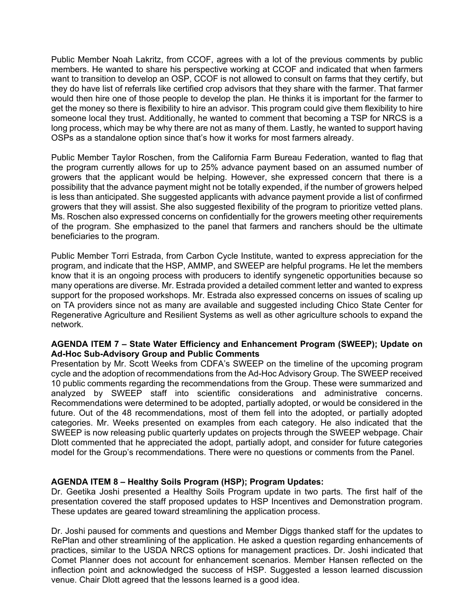members. He wanted to share his perspective working at CCOF and indicated that when farmers want to transition to develop an OSP, CCOF is not allowed to consult on farms that they certify, but get the money so there is flexibility to hire an advisor. This program could give them flexibility to hire someone local they trust. Additionally, he wanted to comment that becoming a TSP for NRCS is a long process, which may be why there are not as many of them. Lastly, he wanted to support having OSPs as a standalone option since that's how it works for most farmers already. Public Member Noah Lakritz, from CCOF, agrees with a lot of the previous comments by public they do have list of referrals like certified crop advisors that they share with the farmer. That farmer would then hire one of those people to develop the plan. He thinks it is important for the farmer to

 is less than anticipated. She suggested applicants with advance payment provide a list of confirmed growers that they will assist. She also suggested flexibility of the program to prioritize vetted plans. Ms. Roschen also expressed concerns on confidentially for the growers meeting other requirements Public Member Taylor Roschen, from the California Farm Bureau Federation, wanted to flag that the program currently allows for up to 25% advance payment based on an assumed number of growers that the applicant would be helping. However, she expressed concern that there is a possibility that the advance payment might not be totally expended, if the number of growers helped of the program. She emphasized to the panel that farmers and ranchers should be the ultimate beneficiaries to the program.

 know that it is an ongoing process with producers to identify syngenetic opportunities because so Regenerative Agriculture and Resilient Systems as well as other agriculture schools to expand the Public Member Torri Estrada, from Carbon Cycle Institute, wanted to express appreciation for the program, and indicate that the HSP, AMMP, and SWEEP are helpful programs. He let the members many operations are diverse. Mr. Estrada provided a detailed comment letter and wanted to express support for the proposed workshops. Mr. Estrada also expressed concerns on issues of scaling up on TA providers since not as many are available and suggested including Chico State Center for network.

### **AGENDA ITEM 7 – State Water Efficiency and Enhancement Program (SWEEP); Update on Ad-Hoc Sub-Advisory Group and Public Comments**

 Presentation by Mr. Scott Weeks from CDFA's SWEEP on the timeline of the upcoming program SWEEP is now releasing public quarterly updates on projects through the SWEEP webpage. Chair cycle and the adoption of recommendations from the Ad-Hoc Advisory Group. The SWEEP received 10 public comments regarding the recommendations from the Group. These were summarized and analyzed by SWEEP staff into scientific considerations and administrative concerns. Recommendations were determined to be adopted, partially adopted, or would be considered in the future. Out of the 48 recommendations, most of them fell into the adopted, or partially adopted categories. Mr. Weeks presented on examples from each category. He also indicated that the Dlott commented that he appreciated the adopt, partially adopt, and consider for future categories model for the Group's recommendations. There were no questions or comments from the Panel.

# **AGENDA ITEM 8 – Healthy Soils Program (HSP); Program Updates:**

Dr. Geetika Joshi presented a Healthy Soils Program update in two parts. The first half of the presentation covered the staff proposed updates to HSP Incentives and Demonstration program. These updates are geared toward streamlining the application process.

Dr. Joshi paused for comments and questions and Member Diggs thanked staff for the updates to RePlan and other streamlining of the application. He asked a question regarding enhancements of practices, similar to the USDA NRCS options for management practices. Dr. Joshi indicated that Comet Planner does not account for enhancement scenarios. Member Hansen reflected on the inflection point and acknowledged the success of HSP. Suggested a lesson learned discussion venue. Chair Dlott agreed that the lessons learned is a good idea.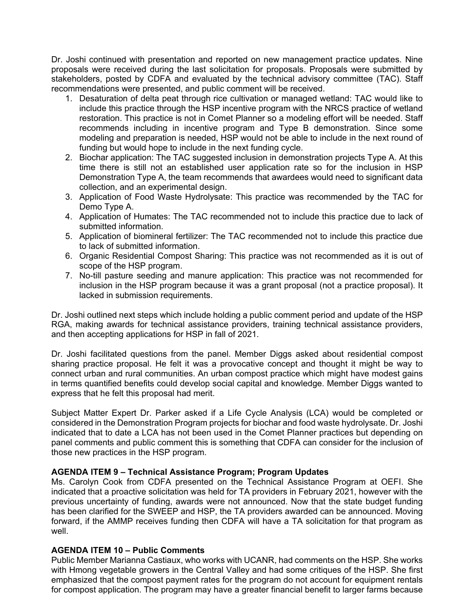stakeholders, posted by CDFA and evaluated by the technical advisory committee (TAC). Staff Dr. Joshi continued with presentation and reported on new management practice updates. Nine proposals were received during the last solicitation for proposals. Proposals were submitted by recommendations were presented, and public comment will be received.

- include this practice through the HSP incentive program with the NRCS practice of wetland restoration. This practice is not in Comet Planner so a modeling effort will be needed. Staff 1. Desaturation of delta peat through rice cultivation or managed wetland: TAC would like to recommends including in incentive program and Type B demonstration. Since some modeling and preparation is needed, HSP would not be able to include in the next round of funding but would hope to include in the next funding cycle.
- time there is still not an established user application rate so for the inclusion in HSP 2. Biochar application: The TAC suggested inclusion in demonstration projects Type A. At this Demonstration Type A, the team recommends that awardees would need to significant data collection, and an experimental design.
- 3. Application of Food Waste Hydrolysate: This practice was recommended by the TAC for Demo Type A.
- 4. Application of Humates: The TAC recommended not to include this practice due to lack of submitted information.
- 5. Application of biomineral fertilizer: The TAC recommended not to include this practice due to lack of submitted information.
- 6. Organic Residential Compost Sharing: This practice was not recommended as it is out of scope of the HSP program.
- 7. No-till pasture seeding and manure application: This practice was not recommended for inclusion in the HSP program because it was a grant proposal (not a practice proposal). It lacked in submission requirements.

 Dr. Joshi outlined next steps which include holding a public comment period and update of the HSP and then accepting applications for HSP in fall of 2021. RGA, making awards for technical assistance providers, training technical assistance providers,

Dr. Joshi facilitated questions from the panel. Member Diggs asked about residential compost sharing practice proposal. He felt it was a provocative concept and thought it might be way to connect urban and rural communities. An urban compost practice which might have modest gains in terms quantified benefits could develop social capital and knowledge. Member Diggs wanted to express that he felt this proposal had merit.

 indicated that to date a LCA has not been used in the Comet Planner practices but depending on Subject Matter Expert Dr. Parker asked if a Life Cycle Analysis (LCA) would be completed or considered in the Demonstration Program projects for biochar and food waste hydrolysate. Dr. Joshi panel comments and public comment this is something that CDFA can consider for the inclusion of those new practices in the HSP program.

# **AGENDA ITEM 9 – Technical Assistance Program; Program Updates**

 indicated that a proactive solicitation was held for TA providers in February 2021, however with the previous uncertainty of funding, awards were not announced. Now that the state budget funding Ms. Carolyn Cook from CDFA presented on the Technical Assistance Program at OEFI. She has been clarified for the SWEEP and HSP, the TA providers awarded can be announced. Moving forward, if the AMMP receives funding then CDFA will have a TA solicitation for that program as well.

# **AGENDA ITEM 10 – Public Comments**

 Public Member Marianna Castiaux, who works with UCANR, had comments on the HSP. She works with Hmong vegetable growers in the Central Valley and had some critiques of the HSP. She first emphasized that the compost payment rates for the program do not account for equipment rentals for compost application. The program may have a greater financial benefit to larger farms because